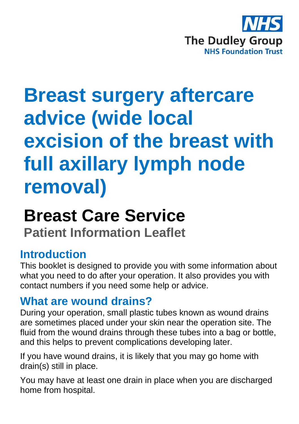

# **Breast surgery aftercare advice (wide local excision of the breast with full axillary lymph node removal)**

# **Breast Care Service**

**Patient Information Leaflet**

## **Introduction**

This booklet is designed to provide you with some information about what you need to do after your operation. It also provides you with contact numbers if you need some help or advice.

## **What are wound drains?**

During your operation, small plastic tubes known as wound drains are sometimes placed under your skin near the operation site. The fluid from the wound drains through these tubes into a bag or bottle, and this helps to prevent complications developing later.

If you have wound drains, it is likely that you may go home with drain(s) still in place.

You may have at least one drain in place when you are discharged home from hospital.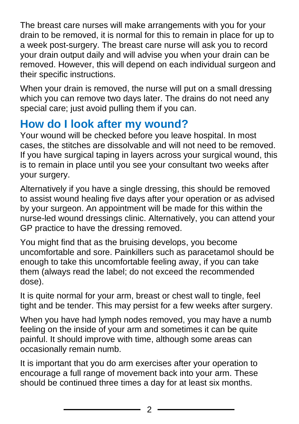The breast care nurses will make arrangements with you for your drain to be removed, it is normal for this to remain in place for up to a week post-surgery. The breast care nurse will ask you to record your drain output daily and will advise you when your drain can be removed. However, this will depend on each individual surgeon and their specific instructions.

When your drain is removed, the nurse will put on a small dressing which you can remove two days later. The drains do not need any special care; just avoid pulling them if you can.

# **How do I look after my wound?**

Your wound will be checked before you leave hospital. In most cases, the stitches are dissolvable and will not need to be removed. If you have surgical taping in layers across your surgical wound, this is to remain in place until you see your consultant two weeks after your surgery.

Alternatively if you have a single dressing, this should be removed to assist wound healing five days after your operation or as advised by your surgeon. An appointment will be made for this within the nurse-led wound dressings clinic. Alternatively, you can attend your GP practice to have the dressing removed.

You might find that as the bruising develops, you become uncomfortable and sore. Painkillers such as paracetamol should be enough to take this uncomfortable feeling away, if you can take them (always read the label; do not exceed the recommended dose).

It is quite normal for your arm, breast or chest wall to tingle, feel tight and be tender. This may persist for a few weeks after surgery.

When you have had lymph nodes removed, you may have a numb feeling on the inside of your arm and sometimes it can be quite painful. It should improve with time, although some areas can occasionally remain numb.

It is important that you do arm exercises after your operation to encourage a full range of movement back into your arm. These should be continued three times a day for at least six months.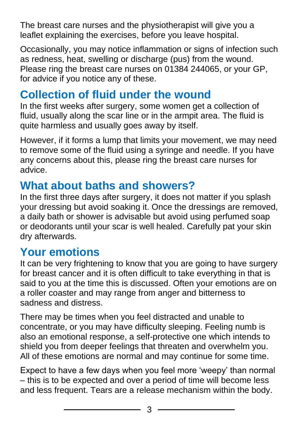The breast care nurses and the physiotherapist will give you a leaflet explaining the exercises, before you leave hospital.

Occasionally, you may notice inflammation or signs of infection such as redness, heat, swelling or discharge (pus) from the wound. Please ring the breast care nurses on 01384 244065, or your GP, for advice if you notice any of these.

# **Collection of fluid under the wound**

In the first weeks after surgery, some women get a collection of fluid, usually along the scar line or in the armpit area. The fluid is quite harmless and usually goes away by itself.

However, if it forms a lump that limits your movement, we may need to remove some of the fluid using a syringe and needle. If you have any concerns about this, please ring the breast care nurses for advice.

## **What about baths and showers?**

In the first three days after surgery, it does not matter if you splash your dressing but avoid soaking it. Once the dressings are removed, a daily bath or shower is advisable but avoid using perfumed soap or deodorants until your scar is well healed. Carefully pat your skin dry afterwards.

## **Your emotions**

It can be very frightening to know that you are going to have surgery for breast cancer and it is often difficult to take everything in that is said to you at the time this is discussed. Often your emotions are on a roller coaster and may range from anger and bitterness to sadness and distress.

There may be times when you feel distracted and unable to concentrate, or you may have difficulty sleeping. Feeling numb is also an emotional response, a self-protective one which intends to shield you from deeper feelings that threaten and overwhelm you. All of these emotions are normal and may continue for some time.

Expect to have a few days when you feel more 'weepy' than normal – this is to be expected and over a period of time will become less and less frequent. Tears are a release mechanism within the body.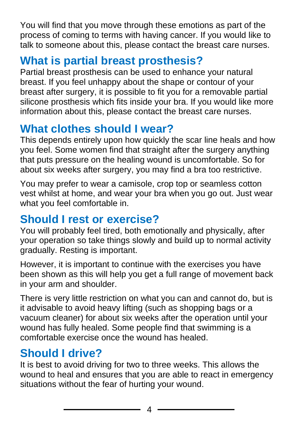You will find that you move through these emotions as part of the process of coming to terms with having cancer. If you would like to talk to someone about this, please contact the breast care nurses.

# **What is partial breast prosthesis?**

Partial breast prosthesis can be used to enhance your natural breast. If you feel unhappy about the shape or contour of your breast after surgery, it is possible to fit you for a removable partial silicone prosthesis which fits inside your bra. If you would like more information about this, please contact the breast care nurses.

# **What clothes should I wear?**

This depends entirely upon how quickly the scar line heals and how you feel. Some women find that straight after the surgery anything that puts pressure on the healing wound is uncomfortable. So for about six weeks after surgery, you may find a bra too restrictive.

You may prefer to wear a camisole, crop top or seamless cotton vest whilst at home, and wear your bra when you go out. Just wear what you feel comfortable in.

## **Should I rest or exercise?**

You will probably feel tired, both emotionally and physically, after your operation so take things slowly and build up to normal activity gradually. Resting is important.

However, it is important to continue with the exercises you have been shown as this will help you get a full range of movement back in your arm and shoulder.

There is very little restriction on what you can and cannot do, but is it advisable to avoid heavy lifting (such as shopping bags or a vacuum cleaner) for about six weeks after the operation until your wound has fully healed. Some people find that swimming is a comfortable exercise once the wound has healed.

## **Should I drive?**

It is best to avoid driving for two to three weeks. This allows the wound to heal and ensures that you are able to react in emergency situations without the fear of hurting your wound.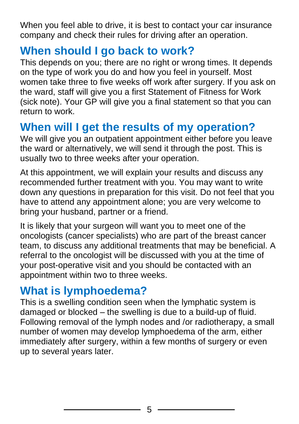When you feel able to drive, it is best to contact your car insurance company and check their rules for driving after an operation.

#### **When should I go back to work?**

This depends on you; there are no right or wrong times. It depends on the type of work you do and how you feel in yourself. Most women take three to five weeks off work after surgery. If you ask on the ward, staff will give you a first Statement of Fitness for Work (sick note). Your GP will give you a final statement so that you can return to work.

#### **When will I get the results of my operation?**

We will give you an outpatient appointment either before you leave the ward or alternatively, we will send it through the post. This is usually two to three weeks after your operation.

At this appointment, we will explain your results and discuss any recommended further treatment with you. You may want to write down any questions in preparation for this visit. Do not feel that you have to attend any appointment alone; you are very welcome to bring your husband, partner or a friend.

It is likely that your surgeon will want you to meet one of the oncologists (cancer specialists) who are part of the breast cancer team, to discuss any additional treatments that may be beneficial. A referral to the oncologist will be discussed with you at the time of your post-operative visit and you should be contacted with an appointment within two to three weeks.

#### **What is lymphoedema?**

This is a swelling condition seen when the lymphatic system is damaged or blocked – the swelling is due to a build-up of fluid. Following removal of the lymph nodes and /or radiotherapy, a small number of women may develop lymphoedema of the arm, either immediately after surgery, within a few months of surgery or even up to several years later.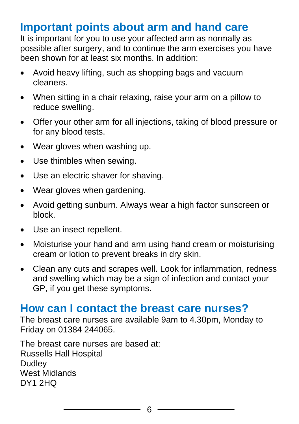## **Important points about arm and hand care**

It is important for you to use your affected arm as normally as possible after surgery, and to continue the arm exercises you have been shown for at least six months. In addition:

- Avoid heavy lifting, such as shopping bags and vacuum cleaners.
- When sitting in a chair relaxing, raise your arm on a pillow to reduce swelling.
- Offer your other arm for all injections, taking of blood pressure or for any blood tests.
- Wear gloves when washing up.
- Use thimbles when sewing.
- Use an electric shaver for shaving.
- Wear gloves when gardening.
- Avoid getting sunburn. Always wear a high factor sunscreen or block.
- Use an insect repellent.
- Moisturise your hand and arm using hand cream or moisturising cream or lotion to prevent breaks in dry skin.
- Clean any cuts and scrapes well. Look for inflammation, redness and swelling which may be a sign of infection and contact your GP, if you get these symptoms.

#### **How can I contact the breast care nurses?**

The breast care nurses are available 9am to 4.30pm, Monday to Friday on 01384 244065.

The breast care nurses are based at: Russells Hall Hospital **Dudley** West Midlands DY1 2HQ

6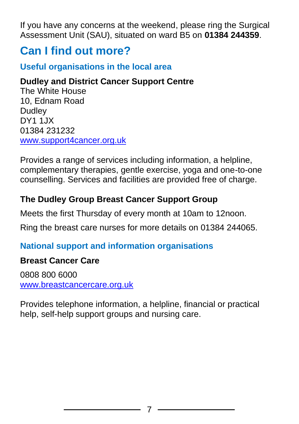If you have any concerns at the weekend, please ring the Surgical Assessment Unit (SAU), situated on ward B5 on **01384 244359**.

## **Can I find out more?**

#### **Useful organisations in the local area**

#### **Dudley and District Cancer Support Centre**

The White House 10, Ednam Road **Dudley** DY1 1JX 01384 231232 [www.support4cancer.org.uk](http://www.support4cancer.org.uk/)

Provides a range of services including information, a helpline, complementary therapies, gentle exercise, yoga and one-to-one counselling. Services and facilities are provided free of charge.

#### **The Dudley Group Breast Cancer Support Group**

Meets the first Thursday of every month at 10am to 12noon.

Ring the breast care nurses for more details on 01384 244065.

#### **National support and information organisations**

#### **Breast Cancer Care**

0808 800 6000 [www.breastcancercare.org.uk](http://www.breastcancercare.org.uk/)

Provides telephone information, a helpline, financial or practical help, self-help support groups and nursing care.